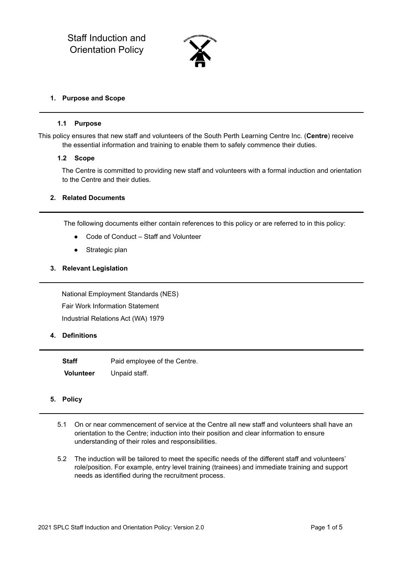

#### **1. Purpose and Scope**

#### **1.1 Purpose**

This policy ensures that new staff and volunteers of the South Perth Learning Centre Inc. (**Centre**) receive the essential information and training to enable them to safely commence their duties.

#### **1.2 Scope**

The Centre is committed to providing new staff and volunteers with a formal induction and orientation to the Centre and their duties.

#### **2. Related Documents**

The following documents either contain references to this policy or are referred to in this policy:

- Code of Conduct Staff and Volunteer
- Strategic plan

#### **3. Relevant Legislation**

National Employment Standards (NES) Fair Work Information Statement Industrial Relations Act (WA) 1979

## **4. Definitions**

**Staff** Paid employee of the Centre. **Volunteer** Unpaid staff.

## **5. Policy**

- 5.1 On or near commencement of service at the Centre all new staff and volunteers shall have an orientation to the Centre; induction into their position and clear information to ensure understanding of their roles and responsibilities.
- 5.2 The induction will be tailored to meet the specific needs of the different staff and volunteers' role/position. For example, entry level training (trainees) and immediate training and support needs as identified during the recruitment process.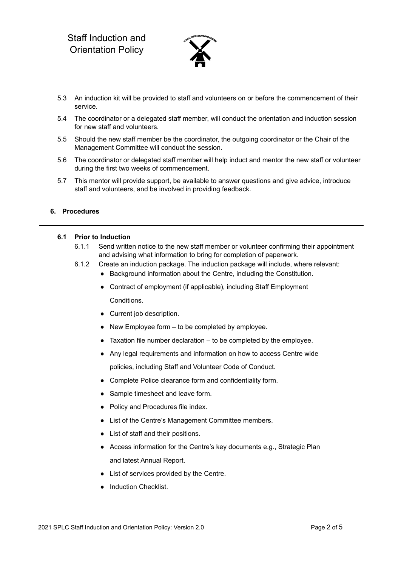

- 5.3 An induction kit will be provided to staff and volunteers on or before the commencement of their service.
- 5.4 The coordinator or a delegated staff member, will conduct the orientation and induction session for new staff and volunteers.
- 5.5 Should the new staff member be the coordinator, the outgoing coordinator or the Chair of the Management Committee will conduct the session.
- 5.6 The coordinator or delegated staff member will help induct and mentor the new staff or volunteer during the first two weeks of commencement.
- 5.7 This mentor will provide support, be available to answer questions and give advice, introduce staff and volunteers, and be involved in providing feedback.

## **6. Procedures**

## **6.1 Prior to Induction**

- 6.1.1 Send written notice to the new staff member or volunteer confirming their appointment and advising what information to bring for completion of paperwork.
- 6.1.2 Create an induction package. The induction package will include, where relevant:
	- Background information about the Centre, including the Constitution.
	- Contract of employment (if applicable), including Staff Employment Conditions.
	- Current job description.
	- New Employee form to be completed by employee.
	- $\bullet$  Taxation file number declaration to be completed by the employee.
	- Any legal requirements and information on how to access Centre wide policies, including Staff and Volunteer Code of Conduct.
	- Complete Police clearance form and confidentiality form.
	- Sample timesheet and leave form.
	- Policy and Procedures file index.
	- List of the Centre's Management Committee members.
	- List of staff and their positions.
	- Access information for the Centre's key documents e.g., Strategic Plan and latest Annual Report.
	- List of services provided by the Centre.
	- Induction Checklist.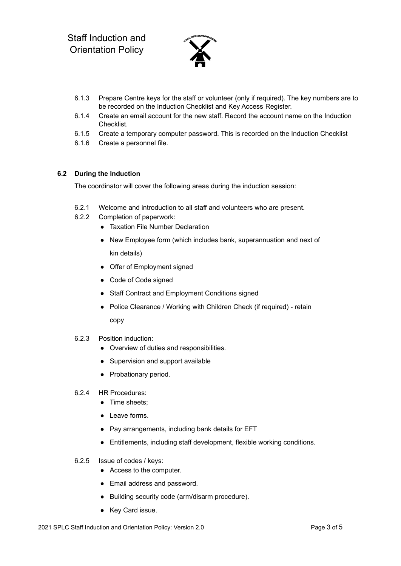

- 6.1.3 Prepare Centre keys for the staff or volunteer (only if required). The key numbers are to be recorded on the Induction Checklist and Key Access Register.
- 6.1.4 Create an email account for the new staff. Record the account name on the Induction Checklist.
- 6.1.5 Create a temporary computer password. This is recorded on the Induction Checklist
- 6.1.6 Create a personnel file.

# **6.2 During the Induction**

The coordinator will cover the following areas during the induction session:

- 6.2.1 Welcome and introduction to all staff and volunteers who are present.
- 6.2.2 Completion of paperwork:
	- Taxation File Number Declaration
	- New Employee form (which includes bank, superannuation and next of kin details)
	- Offer of Employment signed
	- Code of Code signed
	- Staff Contract and Employment Conditions signed
	- Police Clearance / Working with Children Check (if required) retain copy
- 6.2.3 Position induction:
	- Overview of duties and responsibilities.
	- Supervision and support available
	- Probationary period.
- 6.2.4 HR Procedures:
	- Time sheets:
	- Leave forms.
	- Pay arrangements, including bank details for EFT
	- Entitlements, including staff development, flexible working conditions.
- 6.2.5 Issue of codes / keys:
	- Access to the computer.
	- Email address and password.
	- Building security code (arm/disarm procedure).
	- Key Card issue.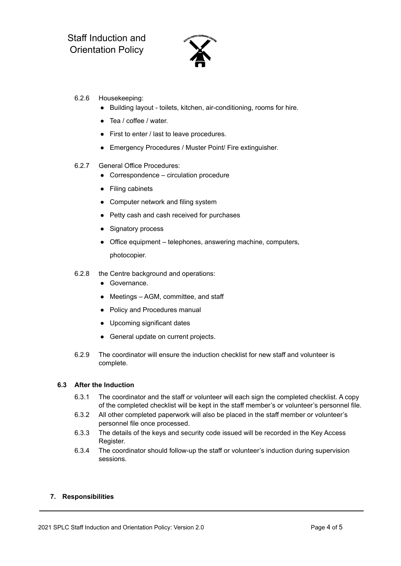

- 6.2.6 Housekeeping:
	- Building layout toilets, kitchen, air-conditioning, rooms for hire.
	- Tea / coffee / water.
	- First to enter / last to leave procedures.
	- Emergency Procedures / Muster Point/ Fire extinguisher.
- 6.2.7 General Office Procedures:
	- Correspondence circulation procedure
	- Filing cabinets
	- Computer network and filing system
	- Petty cash and cash received for purchases
	- Signatory process
	- Office equipment telephones, answering machine, computers, photocopier.
- 6.2.8 the Centre background and operations:
	- Governance.
	- Meetings AGM, committee, and staff
	- Policy and Procedures manual
	- Upcoming significant dates
	- General update on current projects.
- 6.2.9 The coordinator will ensure the induction checklist for new staff and volunteer is complete.

## **6.3 After the Induction**

- 6.3.1 The coordinator and the staff or volunteer will each sign the completed checklist. A copy of the completed checklist will be kept in the staff member's or volunteer's personnel file.
- 6.3.2 All other completed paperwork will also be placed in the staff member or volunteer's personnel file once processed.
- 6.3.3 The details of the keys and security code issued will be recorded in the Key Access Register.
- 6.3.4 The coordinator should follow-up the staff or volunteer's induction during supervision sessions.

## **7. Responsibilities**